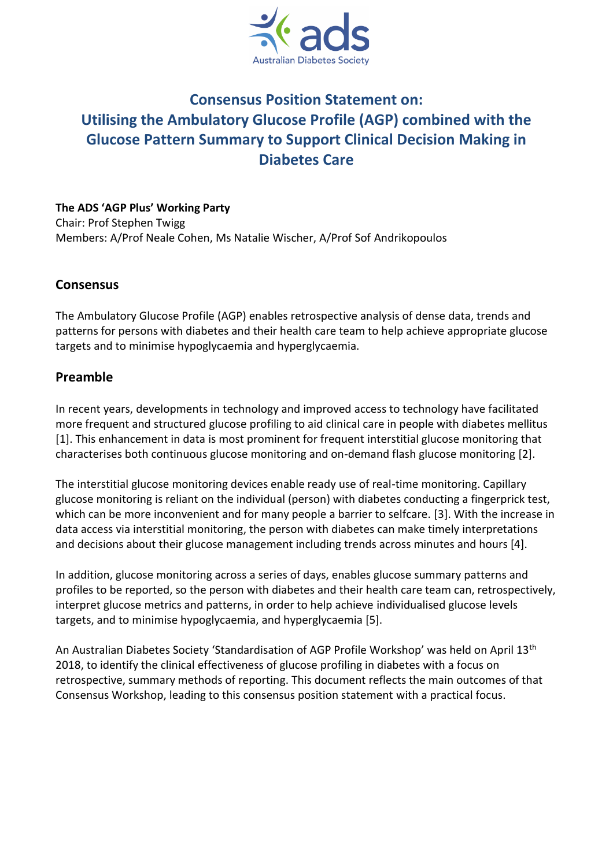

# **Consensus Position Statement on: Utilising the Ambulatory Glucose Profile (AGP) combined with the Glucose Pattern Summary to Support Clinical Decision Making in Diabetes Care**

**The ADS 'AGP Plus' Working Party** Chair: Prof Stephen Twigg Members: A/Prof Neale Cohen, Ms Natalie Wischer, A/Prof Sof Andrikopoulos

### **Consensus**

The Ambulatory Glucose Profile (AGP) enables retrospective analysis of dense data, trends and patterns for persons with diabetes and their health care team to help achieve appropriate glucose targets and to minimise hypoglycaemia and hyperglycaemia.

# **Preamble**

In recent years, developments in technology and improved access to technology have facilitated more frequent and structured glucose profiling to aid clinical care in people with diabetes mellitus [1]. This enhancement in data is most prominent for frequent interstitial glucose monitoring that characterises both continuous glucose monitoring and on-demand flash glucose monitoring [2].

The interstitial glucose monitoring devices enable ready use of real-time monitoring. Capillary glucose monitoring is reliant on the individual (person) with diabetes conducting a fingerprick test, which can be more inconvenient and for many people a barrier to selfcare. [3]. With the increase in data access via interstitial monitoring, the person with diabetes can make timely interpretations and decisions about their glucose management including trends across minutes and hours [4].

In addition, glucose monitoring across a series of days, enables glucose summary patterns and profiles to be reported, so the person with diabetes and their health care team can, retrospectively, interpret glucose metrics and patterns, in order to help achieve individualised glucose levels targets, and to minimise hypoglycaemia, and hyperglycaemia [5].

An Australian Diabetes Society 'Standardisation of AGP Profile Workshop' was held on April 13th 2018, to identify the clinical effectiveness of glucose profiling in diabetes with a focus on retrospective, summary methods of reporting. This document reflects the main outcomes of that Consensus Workshop, leading to this consensus position statement with a practical focus.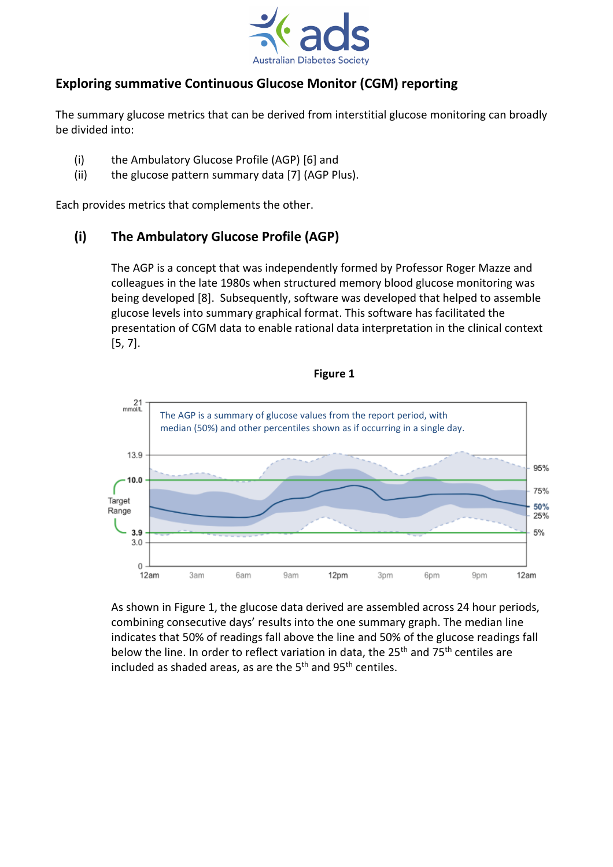

# **Exploring summative Continuous Glucose Monitor (CGM) reporting**

The summary glucose metrics that can be derived from interstitial glucose monitoring can broadly be divided into:

- (i) the Ambulatory Glucose Profile (AGP) [6] and
- (ii) the glucose pattern summary data [7] (AGP Plus).

Each provides metrics that complements the other.

# **(i) The Ambulatory Glucose Profile (AGP)**

The AGP is a concept that was independently formed by Professor Roger Mazze and colleagues in the late 1980s when structured memory blood glucose monitoring was being developed [8]. Subsequently, software was developed that helped to assemble glucose levels into summary graphical format. This software has facilitated the presentation of CGM data to enable rational data interpretation in the clinical context [5, 7].



As shown in Figure 1, the glucose data derived are assembled across 24 hour periods, combining consecutive days' results into the one summary graph. The median line indicates that 50% of readings fall above the line and 50% of the glucose readings fall below the line. In order to reflect variation in data, the 25<sup>th</sup> and 75<sup>th</sup> centiles are included as shaded areas, as are the 5<sup>th</sup> and 95<sup>th</sup> centiles.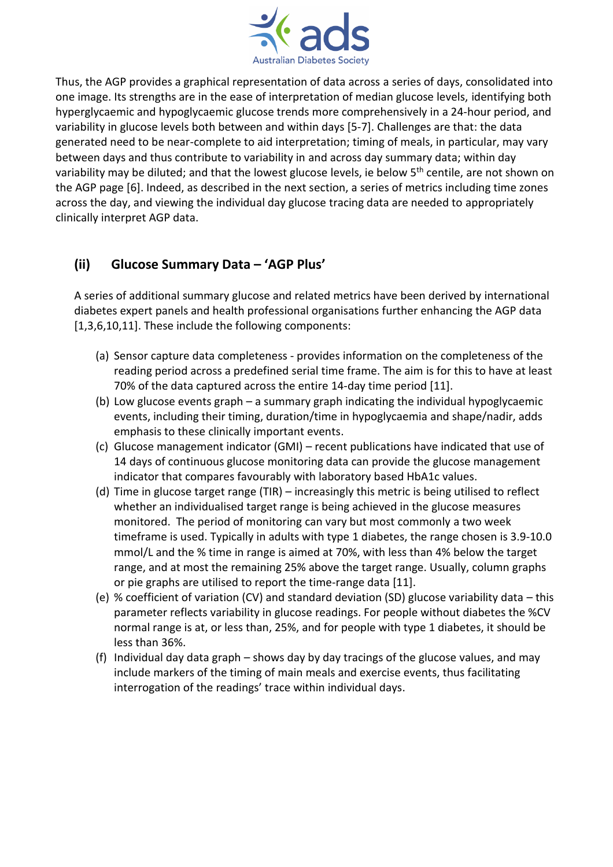

Thus, the AGP provides a graphical representation of data across a series of days, consolidated into one image. Its strengths are in the ease of interpretation of median glucose levels, identifying both hyperglycaemic and hypoglycaemic glucose trends more comprehensively in a 24-hour period, and variability in glucose levels both between and within days [5-7]. Challenges are that: the data generated need to be near-complete to aid interpretation; timing of meals, in particular, may vary between days and thus contribute to variability in and across day summary data; within day variability may be diluted; and that the lowest glucose levels, ie below 5<sup>th</sup> centile, are not shown on the AGP page [6]. Indeed, as described in the next section, a series of metrics including time zones across the day, and viewing the individual day glucose tracing data are needed to appropriately clinically interpret AGP data.

# **(ii) Glucose Summary Data – 'AGP Plus'**

A series of additional summary glucose and related metrics have been derived by international diabetes expert panels and health professional organisations further enhancing the AGP data [1,3,6,10,11]. These include the following components:

- (a) Sensor capture data completeness provides information on the completeness of the reading period across a predefined serial time frame. The aim is for this to have at least 70% of the data captured across the entire 14-day time period [11].
- (b) Low glucose events graph a summary graph indicating the individual hypoglycaemic events, including their timing, duration/time in hypoglycaemia and shape/nadir, adds emphasis to these clinically important events.
- (c) Glucose management indicator (GMI) recent publications have indicated that use of 14 days of continuous glucose monitoring data can provide the glucose management indicator that compares favourably with laboratory based HbA1c values.
- (d) Time in glucose target range (TIR) increasingly this metric is being utilised to reflect whether an individualised target range is being achieved in the glucose measures monitored. The period of monitoring can vary but most commonly a two week timeframe is used. Typically in adults with type 1 diabetes, the range chosen is 3.9-10.0 mmol/L and the % time in range is aimed at 70%, with less than 4% below the target range, and at most the remaining 25% above the target range. Usually, column graphs or pie graphs are utilised to report the time-range data [11].
- (e) % coefficient of variation (CV) and standard deviation (SD) glucose variability data this parameter reflects variability in glucose readings. For people without diabetes the %CV normal range is at, or less than, 25%, and for people with type 1 diabetes, it should be less than 36%.
- (f) Individual day data graph shows day by day tracings of the glucose values, and may include markers of the timing of main meals and exercise events, thus facilitating interrogation of the readings' trace within individual days.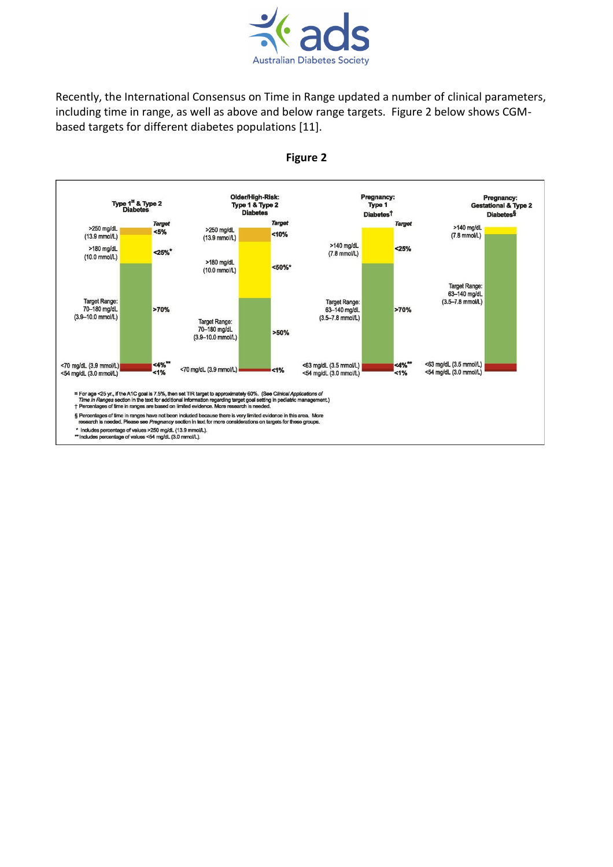

Recently, the International Consensus on Time in Range updated a number of clinical parameters, including time in range, as well as above and below range targets. Figure 2 below shows CGMbased targets for different diabetes populations [11].



**Figure 2**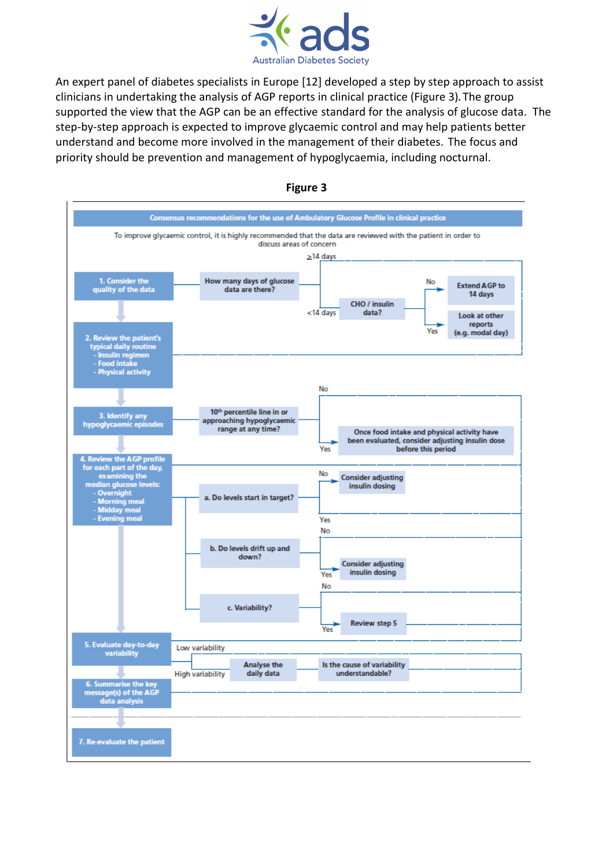

An expert panel of diabetes specialists in Europe [12] developed a step by step approach to assist clinicians in undertaking the analysis of AGP reports in clinical practice (Figure 3)**.** The group supported the view that the AGP can be an effective standard for the analysis of glucose data. The step-by-step approach is expected to improve glycaemic control and may help patients better understand and become more involved in the management of their diabetes.The focus and priority should be prevention and management of hypoglycaemia, including nocturnal.



#### **Figure 3**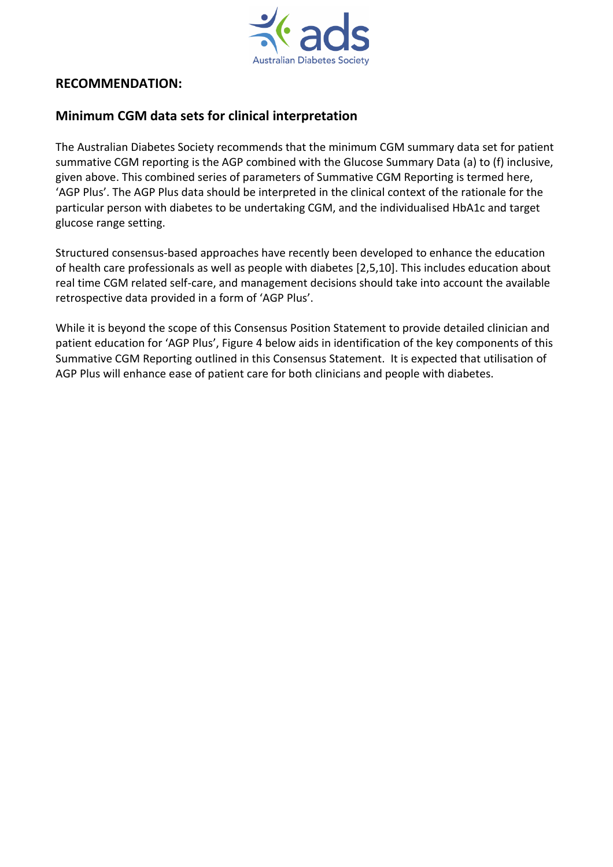

### **RECOMMENDATION:**

## **Minimum CGM data sets for clinical interpretation**

The Australian Diabetes Society recommends that the minimum CGM summary data set for patient summative CGM reporting is the AGP combined with the Glucose Summary Data (a) to (f) inclusive, given above. This combined series of parameters of Summative CGM Reporting is termed here, 'AGP Plus'. The AGP Plus data should be interpreted in the clinical context of the rationale for the particular person with diabetes to be undertaking CGM, and the individualised HbA1c and target glucose range setting.

Structured consensus-based approaches have recently been developed to enhance the education of health care professionals as well as people with diabetes [2,5,10]. This includes education about real time CGM related self-care, and management decisions should take into account the available retrospective data provided in a form of 'AGP Plus'.

While it is beyond the scope of this Consensus Position Statement to provide detailed clinician and patient education for 'AGP Plus', Figure 4 below aids in identification of the key components of this Summative CGM Reporting outlined in this Consensus Statement. It is expected that utilisation of AGP Plus will enhance ease of patient care for both clinicians and people with diabetes.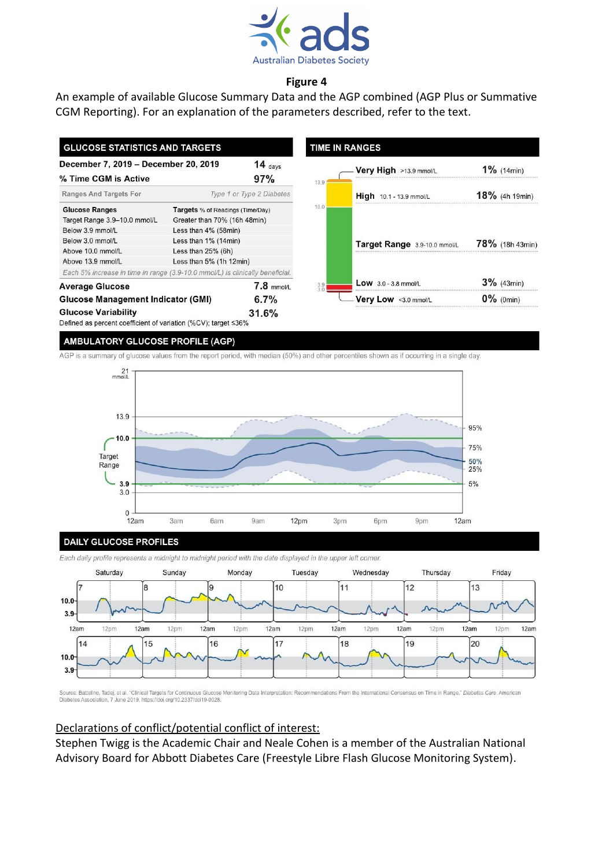

### **Figure 4**

An example of available Glucose Summary Data and the AGP combined (AGP Plus or Summative CGM Reporting). For an explanation of the parameters described, refer to the text.

| <b>GLUCOSE STATISTICS AND TARGETS</b>                                         |                                         |                           | <b>TIME IN RANGES</b>  |                                |                    |
|-------------------------------------------------------------------------------|-----------------------------------------|---------------------------|------------------------|--------------------------------|--------------------|
| December 7, 2019 - December 20, 2019<br>% Time CGM is Active                  | 14 $_{\text{days}}$<br>97%              | 13.9                      | Very High >13.9 mmol/L | $1\%$ (14min)                  |                    |
| Ranges And Targets For                                                        |                                         | Type 1 or Type 2 Diabetes |                        | <b>High</b> 10.1 - 13.9 mmol/L | $18\%$ (4h 19min)  |
| <b>Glucose Ranges</b>                                                         | <b>Targets</b> % of Readings (Time/Day) |                           | 10.0                   |                                |                    |
| Target Range 3.9-10.0 mmol/L                                                  | Greater than 70% (16h 48min)            |                           |                        |                                |                    |
| Below 3.9 mmol/L                                                              | Less than $4\%$ (58 $min$ )             |                           |                        |                                |                    |
| Below 3.0 mmol/L                                                              | Less than $1\%$ (14min)                 |                           |                        | Target Range 3.9-10.0 mmol/L   | $78\%$ (18h 43min) |
| Above 10.0 mmol/L                                                             | Less than $25%$ (6h)                    |                           |                        |                                |                    |
| Above 13.9 mmol/L                                                             | Less than 5% (1h 12min)                 |                           |                        |                                |                    |
| Each 5% increase in time in range (3.9-10.0 mmol/L) is clinically beneficial. |                                         |                           |                        |                                |                    |
| <b>Average Glucose</b>                                                        |                                         | $7.8$ mmol/L              |                        | <b>Low</b> $3.0 - 3.8$ mmol/L  | $3\%$ (43min)      |
| <b>Glucose Management Indicator (GMI)</b>                                     |                                         | 6.7%                      |                        | Very Low <3.0 mmol/l           | $0\%$ (0min)       |
| <b>Glucose Variability</b>                                                    |                                         | 31.6%                     |                        |                                |                    |

Defined as percent coefficient of variation (%CV); target ≤36%

#### **AMBULATORY GLUCOSE PROFILE (AGP)**

AGP is a summary of glucose values from the report period, with median (50%) and other percentiles shown as if occurring in a single day.



#### **DAILY GLUCOSE PROFILES**

Each daily profile represents a midnight to midnight period with the date displayed in the upper left corner.



Source: Battelino, Tadej, et al. "Clinical Targets for Continuous Glucose Monitoring Data Interpretation: Recommendations From the International Consensus on Time in Range." Diabetes Care, American Diabetes Association, 7 June 2019, https://doi.org/10.2337/dci19-0028

### Declarations of conflict/potential conflict of interest:

Stephen Twigg is the Academic Chair and Neale Cohen is a member of the Australian National Advisory Board for Abbott Diabetes Care (Freestyle Libre Flash Glucose Monitoring System).